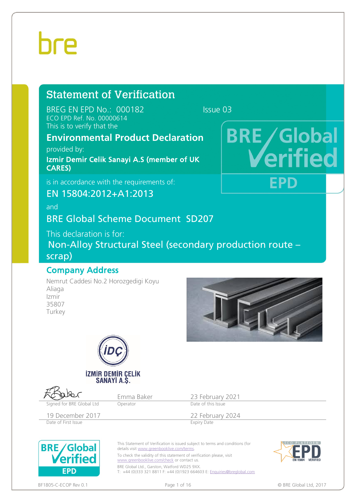# hre

# Statement of Verification

BREG EN EPD No.: 000182 Issue 03 ECO EPD Ref. No. 00000614 This is to verify that the

## **Environmental Product Declaration**

provided by:

Izmir Demir Celik Sanayi A.S (member of UK CARES)

is in accordance with the requirements of:

EN 15804:2012+A1:2013

and

### BRE Global Scheme Document SD207

This declaration is for:

Non-Alloy Structural Steel (secondary production route – scrap)

### Company Address

Nemrut Caddesi No.2 Horozgedigi Koyu Aliaga Izmir 35807 Turkey



**BRE** / Global

FPD



Emma Baker 23 February 2021<br>
Decrator Date of this Issue Signed for BRE Global Ltd Operator 19 December 2017<br>
Date of First Issue<br>
Expiry Date Christ Issue<br>
Expiry Date Date of First Issue This Statement of Verification is issued subject to terms and conditions (for **BRE/Global** details visit www.greenbooklive.com/terms

To check the validity of this statement of verification please, visit [www.greenbooklive.com/check](http://www.greenbooklive.com/check) or contact us.

BRE Global Ltd., Garston, Watford WD25 9XX. T: +44 (0)333 321 8811 F: +44 (0)1923 664603 E: <u>Enquiries@breglobal.com</u>



BF1805-C-ECOP Rev 0.1 **Details a contract that COP Rev** 0.1 **Page 1 of 16 Page 1 of 16 COP Rev 0.1 COP Rev** 0.1 **COP Rev** 0.1 **Page 1 of 16 Page 1 of 16 COP Rev 0.1 COP Rev** 0.1 **COP Rev** 0.1 **COP Rev** 0.1

**EPD** 

erified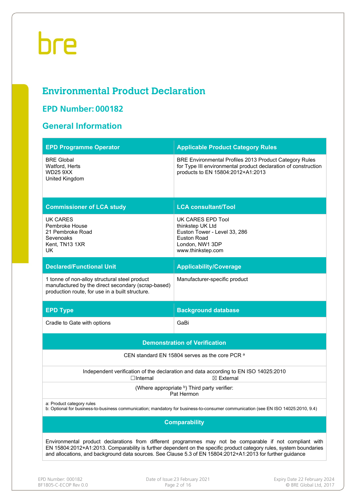# **Environmental Product Declaration**

### **EPD Number: 000182**

## **General Information**

| <b>EPD Programme Operator</b>                                                                                                                          | <b>Applicable Product Category Rules</b>                                                                                                                      |  |  |  |  |
|--------------------------------------------------------------------------------------------------------------------------------------------------------|---------------------------------------------------------------------------------------------------------------------------------------------------------------|--|--|--|--|
| <b>BRE Global</b><br>Watford, Herts<br><b>WD25 9XX</b><br>United Kingdom                                                                               | BRE Environmental Profiles 2013 Product Category Rules<br>for Type III environmental product declaration of construction<br>products to EN 15804:2012+A1:2013 |  |  |  |  |
| <b>Commissioner of LCA study</b>                                                                                                                       | <b>LCA consultant/Tool</b>                                                                                                                                    |  |  |  |  |
| UK CARES<br>Pembroke House<br>21 Pembroke Road<br>Sevenoaks<br>Kent, TN13 1XR<br>UK.                                                                   | UK CARES EPD Tool<br>thinkstep UK Ltd<br>Euston Tower - Level 33, 286<br><b>Euston Road</b><br>London, NW1 3DP<br>www.thinkstep.com                           |  |  |  |  |
| <b>Declared/Functional Unit</b>                                                                                                                        | <b>Applicability/Coverage</b>                                                                                                                                 |  |  |  |  |
| 1 tonne of non-alloy structural steel product<br>manufactured by the direct secondary (scrap-based)<br>production route, for use in a built structure. | Manufacturer-specific product                                                                                                                                 |  |  |  |  |
| <b>EPD Type</b>                                                                                                                                        | <b>Background database</b>                                                                                                                                    |  |  |  |  |
| Cradle to Gate with options                                                                                                                            | GaBi                                                                                                                                                          |  |  |  |  |
|                                                                                                                                                        | <b>Demonstration of Verification</b>                                                                                                                          |  |  |  |  |
|                                                                                                                                                        | CEN standard EN 15804 serves as the core PCR a                                                                                                                |  |  |  |  |
| $\Box$ Internal                                                                                                                                        | Independent verification of the declaration and data according to EN ISO 14025:2010<br>$\boxtimes$ External                                                   |  |  |  |  |
| (Where appropriate b) Third party verifier:                                                                                                            |                                                                                                                                                               |  |  |  |  |
|                                                                                                                                                        | Pat Hermon                                                                                                                                                    |  |  |  |  |
| a: Product category rules                                                                                                                              | b: Optional for business-to-business communication; mandatory for business-to-consumer communication (see EN ISO 14025:2010, 9.4)                             |  |  |  |  |
|                                                                                                                                                        | <b>Comparability</b>                                                                                                                                          |  |  |  |  |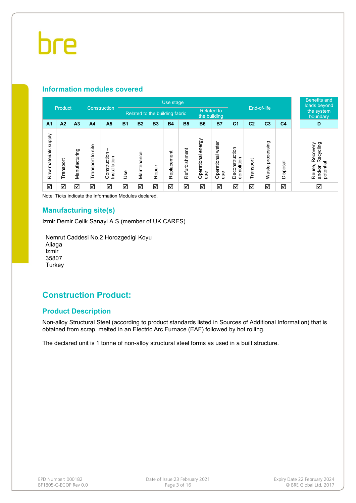#### **Information modules covered**

|                                |           |                |                        |                              |                                | Use stage   |           |                                   |               |                              |                             |                              |                |                        |                | <b>Benefits and</b><br>loads beyond                    |
|--------------------------------|-----------|----------------|------------------------|------------------------------|--------------------------------|-------------|-----------|-----------------------------------|---------------|------------------------------|-----------------------------|------------------------------|----------------|------------------------|----------------|--------------------------------------------------------|
|                                | Product   |                | Construction           |                              | Related to the building fabric |             |           | <b>Related to</b><br>the building |               |                              | End-of-life                 |                              |                | the system<br>boundary |                |                                                        |
| A <sub>1</sub>                 | A2        | A <sub>3</sub> | A <sub>4</sub>         | A <sub>5</sub>               | <b>B1</b>                      | <b>B2</b>   | <b>B3</b> | <b>B4</b>                         | <b>B5</b>     | <b>B6</b>                    | <b>B7</b>                   | C <sub>1</sub>               | C <sub>2</sub> | C <sub>3</sub>         | C <sub>4</sub> | D                                                      |
| <b>Alddns</b><br>Raw materials | Transport | Manufacturing  | site<br>đ<br>Transport | Construction<br>Installation | Use                            | Maintenance | Repair    | Replacement                       | Refurbishment | energy<br>Operational<br>use | water<br>Operational<br>use | Deconstruction<br>demolition | Transport      | processing<br>Waste    | Disposal       | Recycling<br>Recovery<br>potential<br>Reuse,<br>and/or |
| ☑                              | ☑         | ☑              | ☑                      | ☑                            | ☑                              | ☑           | ☑         | ☑                                 | ☑             | ☑                            | ☑                           | ☑                            | ☑              | ☑                      | ☑              | ☑                                                      |

Note: Ticks indicate the Information Modules declared.

#### **Manufacturing site(s)**

Izmir Demir Celik Sanayi A.S (member of UK CARES)

Nemrut Caddesi No.2 Horozgedigi Koyu Aliaga Izmir 35807 **Turkey** 

### **Construction Product:**

#### **Product Description**

Non-alloy Structural Steel (according to product standards listed in Sources of Additional Information) that is obtained from scrap, melted in an Electric Arc Furnace (EAF) followed by hot rolling.

The declared unit is 1 tonne of non-alloy structural steel forms as used in a built structure.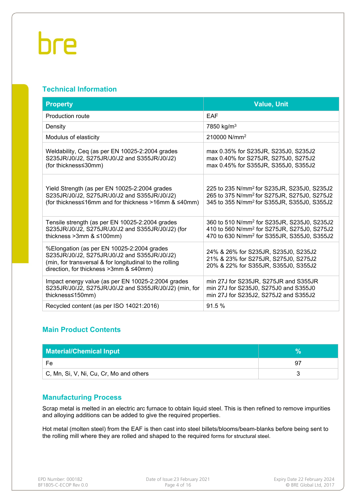#### **Technical Information**

| <b>Property</b>                                                                                                                                                                                 | <b>Value, Unit</b>                                                                                                                                                            |
|-------------------------------------------------------------------------------------------------------------------------------------------------------------------------------------------------|-------------------------------------------------------------------------------------------------------------------------------------------------------------------------------|
| Production route                                                                                                                                                                                | <b>EAF</b>                                                                                                                                                                    |
| Density                                                                                                                                                                                         | 7850 kg/m <sup>3</sup>                                                                                                                                                        |
| Modulus of elasticity                                                                                                                                                                           | 210000 N/mm <sup>2</sup>                                                                                                                                                      |
| Weldability, Ceq (as per EN 10025-2:2004 grades<br>S235JR/J0/J2, S275JR/J0/J2 and S355JR/J0/J2)<br>(for thickness≤30mm)                                                                         | max 0.35% for S235JR, S235J0, S235J2<br>max 0.40% for S275JR, S275J0, S275J2<br>max 0.45% for S355JR, S355J0, S355J2                                                          |
| Yield Strength (as per EN 10025-2:2004 grades<br>S235JR/J0/J2, S275JR/J0/J2 and S355JR/J0/J2)<br>(for thickness≤16mm and for thickness >16mm & ≤40mm)                                           | 225 to 235 N/mm <sup>2</sup> for S235JR, S235J0, S235J2<br>265 to 375 N/mm <sup>2</sup> for S275JR, S275J0, S275J2<br>345 to 355 N/mm <sup>2</sup> for S355JR, S355J0, S355J2 |
| Tensile strength (as per EN 10025-2:2004 grades<br>S235JR/J0/J2, S275JR/J0/J2 and S355JR/J0/J2) (for<br>thickness $>3$ mm & $\leq 100$ mm)                                                      | 360 to 510 N/mm <sup>2</sup> for S235JR, S235J0, S235J2<br>410 to 560 N/mm <sup>2</sup> for S275JR, S275J0, S275J2<br>470 to 630 N/mm <sup>2</sup> for S355JR, S355J0, S355J2 |
| %Elongation (as per EN 10025-2:2004 grades<br>S235JR/J0/J2, S275JR/J0/J2 and S355JR/J0/J2)<br>(min, for transversal & for longitudinal to the rolling<br>direction, for thickness >3mm & ≤40mm) | 24% & 26% for S235JR, S235J0, S235J2<br>21% & 23% for S275JR, S275J0, S275J2<br>20% & 22% for S355JR, S355J0, S355J2                                                          |
| Impact energy value (as per EN 10025-2:2004 grades<br>S235JR/J0/J2, S275JR/J0/J2 and S355JR/J0/J2) (min, for<br>thickness≤150mm)                                                                | min 27J for S235JR, S275JR and S355JR<br>min 27J for S235J0, S275J0 and S355J0<br>min 27J for S235J2, S275J2 and S355J2                                                       |
| Recycled content (as per ISO 14021:2016)                                                                                                                                                        | 91.5 %                                                                                                                                                                        |

### **Main Product Contents**

| <b>Material/Chemical Input</b>                 |    |
|------------------------------------------------|----|
| Fe                                             | Q. |
| $\mid$ C, Mn, Si, V, Ni, Cu, Cr, Mo and others |    |

#### **Manufacturing Process**

Scrap metal is melted in an electric arc furnace to obtain liquid steel. This is then refined to remove impurities and alloying additions can be added to give the required properties.

Hot metal (molten steel) from the EAF is then cast into steel billets/blooms/beam-blanks before being sent to the rolling mill where they are rolled and shaped to the required forms for structural steel.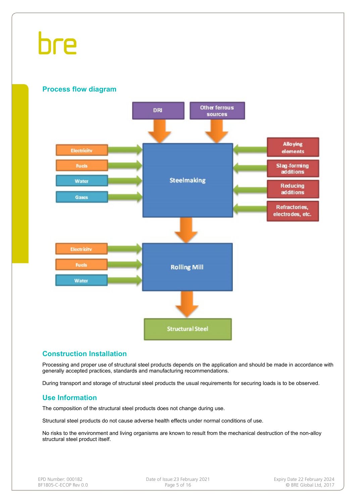

#### **Construction Installation**

Processing and proper use of structural steel products depends on the application and should be made in accordance with generally accepted practices, standards and manufacturing recommendations.

During transport and storage of structural steel products the usual requirements for securing loads is to be observed.

#### **Use Information**

The composition of the structural steel products does not change during use.

Structural steel products do not cause adverse health effects under normal conditions of use.

No risks to the environment and living organisms are known to result from the mechanical destruction of the non-alloy structural steel product itself.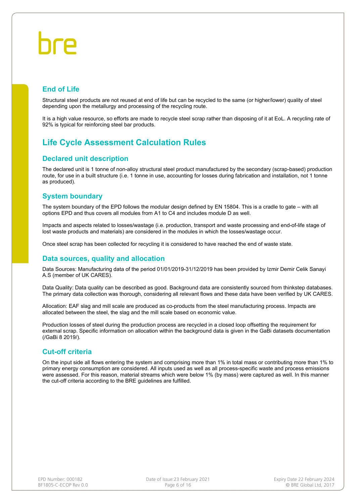### **End of Life**

Structural steel products are not reused at end of life but can be recycled to the same (or higher/lower) quality of steel depending upon the metallurgy and processing of the recycling route.

It is a high value resource, so efforts are made to recycle steel scrap rather than disposing of it at EoL. A recycling rate of 92% is typical for reinforcing steel bar products.

### **Life Cycle Assessment Calculation Rules**

#### **Declared unit description**

The declared unit is 1 tonne of non-alloy structural steel product manufactured by the secondary (scrap-based) production route, for use in a built structure (i.e. 1 tonne in use, accounting for losses during fabrication and installation, not 1 tonne as produced).

#### **System boundary**

The system boundary of the EPD follows the modular design defined by EN 15804. This is a cradle to gate – with all options EPD and thus covers all modules from A1 to C4 and includes module D as well.

Impacts and aspects related to losses/wastage (i.e. production, transport and waste processing and end-of-life stage of lost waste products and materials) are considered in the modules in which the losses/wastage occur.

Once steel scrap has been collected for recycling it is considered to have reached the end of waste state.

#### **Data sources, quality and allocation**

Data Sources: Manufacturing data of the period 01/01/2019-31/12/2019 has been provided by Izmir Demir Celik Sanayi A.S (member of UK CARES).

Data Quality: Data quality can be described as good. Background data are consistently sourced from thinkstep databases. The primary data collection was thorough, considering all relevant flows and these data have been verified by UK CARES.

Allocation: EAF slag and mill scale are produced as co-products from the steel manufacturing process. Impacts are allocated between the steel, the slag and the mill scale based on economic value.

Production losses of steel during the production process are recycled in a closed loop offsetting the requirement for external scrap. Specific information on allocation within the background data is given in the GaBi datasets documentation (/GaBi 8 2019/).

#### **Cut-off criteria**

On the input side all flows entering the system and comprising more than 1% in total mass or contributing more than 1% to primary energy consumption are considered. All inputs used as well as all process-specific waste and process emissions were assessed. For this reason, material streams which were below 1% (by mass) were captured as well. In this manner the cut-off criteria according to the BRE guidelines are fulfilled.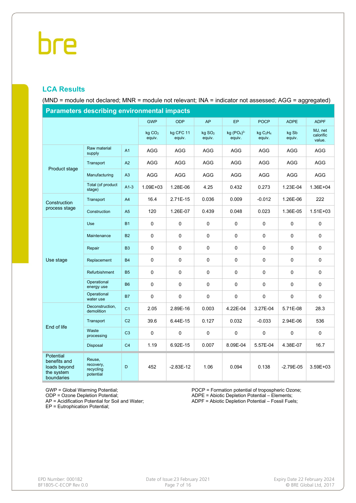### **LCA Results**

(MND = module not declared; MNR = module not relevant; INA = indicator not assessed; AGG = aggregated)

| <b>Parameters describing environmental impacts</b>                    |                                               |                |                              |                     |                                |                        |                                            |                 |                                |
|-----------------------------------------------------------------------|-----------------------------------------------|----------------|------------------------------|---------------------|--------------------------------|------------------------|--------------------------------------------|-----------------|--------------------------------|
|                                                                       |                                               |                | <b>GWP</b>                   | <b>ODP</b>          | AP                             | <b>EP</b>              | <b>POCP</b>                                | <b>ADPE</b>     | <b>ADPF</b>                    |
|                                                                       |                                               |                | kg CO <sub>2</sub><br>equiv. | kg CFC 11<br>equiv. | $kg$ SO <sub>2</sub><br>equiv. | $kg (PO4)3-$<br>equiv. | kg C <sub>2</sub> H <sub>4</sub><br>equiv. | kg Sb<br>equiv. | MJ, net<br>calorific<br>value. |
|                                                                       | Raw material<br>supply                        | A1             | AGG                          | <b>AGG</b>          | AGG                            | AGG                    | <b>AGG</b>                                 | <b>AGG</b>      | AGG                            |
|                                                                       | Transport                                     | A2             | <b>AGG</b>                   | AGG                 | AGG                            | AGG                    | <b>AGG</b>                                 | <b>AGG</b>      | AGG                            |
| Product stage                                                         | Manufacturing                                 | A3             | <b>AGG</b>                   | <b>AGG</b>          | <b>AGG</b>                     | <b>AGG</b>             | AGG                                        | <b>AGG</b>      | AGG                            |
|                                                                       | Total (of product<br>stage)                   | $A1-3$         | 1.09E+03                     | 1.28E-06            | 4.25                           | 0.432                  | 0.273                                      | 1.23E-04        | 1.36E+04                       |
| Construction                                                          | Transport                                     | A4             | 16.4                         | 2.71E-15            | 0.036                          | 0.009                  | $-0.012$                                   | 1.26E-06        | 222                            |
| process stage                                                         | Construction                                  | A5             | 120                          | 1.26E-07            | 0.439                          | 0.048                  | 0.023                                      | 1.36E-05        | $1.51E + 03$                   |
|                                                                       | Use                                           | <b>B1</b>      | 0                            | $\mathbf 0$         | 0                              | 0                      | 0                                          | 0               | $\mathbf 0$                    |
|                                                                       | Maintenance                                   | <b>B2</b>      | 0                            | 0                   | 0                              | 0                      | 0                                          | 0               | $\mathbf 0$                    |
|                                                                       | Repair                                        | B <sub>3</sub> | 0                            | 0                   | 0                              | 0                      | 0                                          | 0               | 0                              |
| Use stage                                                             | Replacement                                   | <b>B4</b>      | 0                            | $\pmb{0}$           | $\pmb{0}$                      | 0                      | 0                                          | 0               | $\mathbf 0$                    |
|                                                                       | Refurbishment                                 | <b>B5</b>      | 0                            | 0                   | 0                              | 0                      | 0                                          | 0               | 0                              |
|                                                                       | Operational<br>energy use                     | <b>B6</b>      | 0                            | $\mathbf 0$         | $\pmb{0}$                      | 0                      | $\pmb{0}$                                  | $\pmb{0}$       | $\mathbf 0$                    |
|                                                                       | Operational<br>water use                      | <b>B7</b>      | 0                            | $\pmb{0}$           | 0                              | 0                      | 0                                          | 0               | $\mathbf 0$                    |
|                                                                       | Deconstruction,<br>demolition                 | C <sub>1</sub> | 2.05                         | 2.89E-16            | 0.003                          | 4.22E-04               | 3.27E-04                                   | 5.71E-08        | 28.3                           |
| End of life                                                           | Transport                                     | C <sub>2</sub> | 39.6                         | 6.44E-15            | 0.127                          | 0.032                  | $-0.033$                                   | 2.94E-06        | 536                            |
|                                                                       | Waste<br>processing                           | C <sub>3</sub> | 0                            | $\pmb{0}$           | $\pmb{0}$                      | 0                      | 0                                          | 0               | $\mathbf 0$                    |
|                                                                       | Disposal                                      | C <sub>4</sub> | 1.19                         | 6.92E-15            | 0.007                          | 8.09E-04               | 5.57E-04                                   | 4.38E-07        | 16.7                           |
| Potential<br>benefits and<br>loads beyond<br>the system<br>boundaries | Reuse,<br>recovery,<br>recycling<br>potential | D              | 452                          | $-2.83E-12$         | 1.06                           | 0.094                  | 0.138                                      | $-2.79E - 05$   | 3.59E+03                       |

GWP = Global Warming Potential;

ODP = Ozone Depletion Potential;

AP = Acidification Potential for Soil and Water;

EP = Eutrophication Potential;

POCP = Formation potential of tropospheric Ozone; ADPE = Abiotic Depletion Potential – Elements;

ADPF = Abiotic Depletion Potential – Fossil Fuels;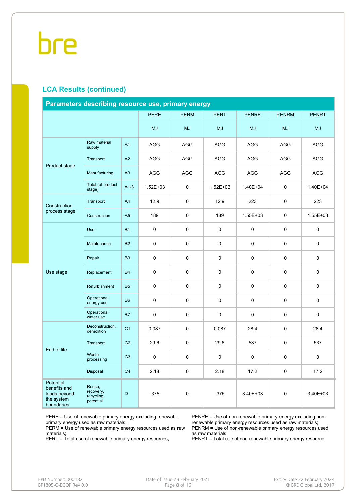#### **LCA Results (continued)**

|                                                                       | Parameters describing resource use, primary energy |                |              |             |              |              |              |              |  |  |
|-----------------------------------------------------------------------|----------------------------------------------------|----------------|--------------|-------------|--------------|--------------|--------------|--------------|--|--|
|                                                                       |                                                    |                | <b>PERE</b>  | <b>PERM</b> | <b>PERT</b>  | <b>PENRE</b> | <b>PENRM</b> | <b>PENRT</b> |  |  |
|                                                                       |                                                    |                | <b>MJ</b>    | <b>MJ</b>   | <b>MJ</b>    | <b>MJ</b>    | <b>MJ</b>    | <b>MJ</b>    |  |  |
|                                                                       | Raw material<br>supply                             | A <sub>1</sub> | <b>AGG</b>   | <b>AGG</b>  | <b>AGG</b>   | AGG          | <b>AGG</b>   | AGG          |  |  |
| Product stage                                                         | Transport                                          | A2             | <b>AGG</b>   | <b>AGG</b>  | <b>AGG</b>   | <b>AGG</b>   | <b>AGG</b>   | <b>AGG</b>   |  |  |
|                                                                       | Manufacturing                                      | A3             | <b>AGG</b>   | AGG         | <b>AGG</b>   | <b>AGG</b>   | AGG          | AGG          |  |  |
|                                                                       | Total (of product<br>stage)                        | $A1-3$         | $1.52E + 03$ | $\mathbf 0$ | $1.52E + 03$ | 1.40E+04     | $\mathbf 0$  | 1.40E+04     |  |  |
| Construction                                                          | Transport                                          | A4             | 12.9         | 0           | 12.9         | 223          | $\mathbf 0$  | 223          |  |  |
| process stage                                                         | Construction                                       | A5             | 189          | 0           | 189          | $1.55E + 03$ | 0            | 1.55E+03     |  |  |
|                                                                       | Use                                                | <b>B1</b>      | $\mathbf 0$  | $\mathbf 0$ | $\mathbf 0$  | $\Omega$     | $\mathbf 0$  | 0            |  |  |
|                                                                       | Maintenance                                        | <b>B2</b>      | 0            | 0           | 0            | $\mathbf 0$  | 0            | 0            |  |  |
|                                                                       | Repair                                             | B <sub>3</sub> | 0            | 0           | 0            | $\mathbf 0$  | $\mathbf 0$  | 0            |  |  |
| Use stage                                                             | Replacement                                        | <b>B4</b>      | 0            | 0           | 0            | $\mathbf 0$  | $\mathbf 0$  | $\pmb{0}$    |  |  |
|                                                                       | Refurbishment                                      | <b>B5</b>      | 0            | 0           | 0            | $\mathbf 0$  | $\mathbf 0$  | 0            |  |  |
|                                                                       | Operational<br>energy use                          | <b>B6</b>      | 0            | 0           | 0            | $\mathbf 0$  | 0            | 0            |  |  |
|                                                                       | Operational<br>water use                           | <b>B7</b>      | 0            | $\mathbf 0$ | 0            | $\mathbf 0$  | $\mathbf 0$  | 0            |  |  |
|                                                                       | Deconstruction,<br>demolition                      | C <sub>1</sub> | 0.087        | 0           | 0.087        | 28.4         | $\mathbf 0$  | 28.4         |  |  |
| End of life                                                           | Transport                                          | C <sub>2</sub> | 29.6         | 0           | 29.6         | 537          | 0            | 537          |  |  |
|                                                                       | Waste<br>processing                                | C <sub>3</sub> | 0            | 0           | 0            | $\mathbf 0$  | $\mathbf 0$  | 0            |  |  |
|                                                                       | Disposal                                           | C <sub>4</sub> | 2.18         | 0           | 2.18         | 17.2         | $\mathbf 0$  | 17.2         |  |  |
| Potential<br>benefits and<br>loads beyond<br>the system<br>boundaries | Reuse,<br>recovery,<br>recycling<br>potential      | D              | $-375$       | 0           | $-375$       | 3.40E+03     | 0            | 3.40E+03     |  |  |

PERE = Use of renewable primary energy excluding renewable primary energy used as raw materials;

PERM = Use of renewable primary energy resources used as raw materials;

PERT = Total use of renewable primary energy resources;

PENRE = Use of non-renewable primary energy excluding nonrenewable primary energy resources used as raw materials; PENRM = Use of non-renewable primary energy resources used as raw materials;

PENRT = Total use of non-renewable primary energy resource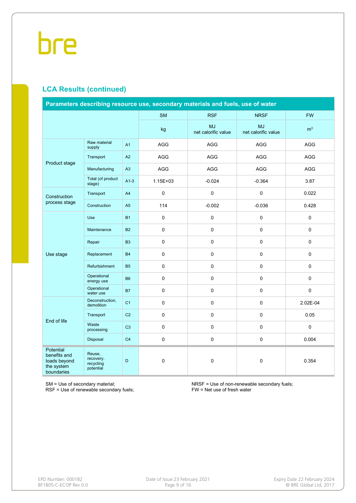### **LCA Results (continued)**

| Parameters describing resource use, secondary materials and fuels, use of water |                                               |                |              |                                  |                                  |                |  |  |
|---------------------------------------------------------------------------------|-----------------------------------------------|----------------|--------------|----------------------------------|----------------------------------|----------------|--|--|
|                                                                                 |                                               |                | <b>SM</b>    | <b>RSF</b>                       | <b>NRSF</b>                      | <b>FW</b>      |  |  |
|                                                                                 |                                               |                | kg           | <b>MJ</b><br>net calorific value | <b>MJ</b><br>net calorific value | m <sup>3</sup> |  |  |
|                                                                                 | Raw material<br>supply                        | A1             | AGG          | AGG                              | AGG                              | AGG            |  |  |
| Product stage                                                                   | Transport                                     | A2             | AGG          | AGG                              | AGG                              | AGG            |  |  |
|                                                                                 | Manufacturing                                 | A3             | <b>AGG</b>   | <b>AGG</b>                       | AGG                              | <b>AGG</b>     |  |  |
|                                                                                 | Total (of product<br>stage)                   | $A1-3$         | $1.15E + 03$ | $-0.024$                         | $-0.364$                         | 3.87           |  |  |
| Construction                                                                    | Transport                                     | A4             | 0            | 0                                | 0                                | 0.022          |  |  |
| process stage                                                                   | Construction                                  | A <sub>5</sub> | 114          | $-0.002$                         | $-0.036$                         | 0.428          |  |  |
|                                                                                 | <b>Use</b>                                    | <b>B1</b>      | 0            | 0                                | 0                                | 0              |  |  |
|                                                                                 | Maintenance                                   | <b>B2</b>      | 0            | $\mathsf 0$                      | 0                                | 0              |  |  |
|                                                                                 | Repair                                        | B <sub>3</sub> | 0            | 0                                | 0                                | 0              |  |  |
| Use stage                                                                       | Replacement                                   | <b>B4</b>      | 0            | 0                                | $\mathbf 0$                      | 0              |  |  |
|                                                                                 | Refurbishment                                 | <b>B5</b>      | 0            | 0                                | 0                                | 0              |  |  |
|                                                                                 | Operational<br>energy use                     | <b>B6</b>      | 0            | 0                                | 0                                | 0              |  |  |
|                                                                                 | Operational<br>water use                      | <b>B7</b>      | $\pmb{0}$    | $\pmb{0}$                        | 0                                | 0              |  |  |
|                                                                                 | Deconstruction,<br>demolition                 | C <sub>1</sub> | 0            | 0                                | $\mathbf 0$                      | 2.02E-04       |  |  |
| End of life                                                                     | Transport                                     | C <sub>2</sub> | 0            | 0                                | 0                                | 0.05           |  |  |
|                                                                                 | Waste<br>processing                           | C <sub>3</sub> | 0            | 0                                | $\mathsf 0$                      | $\pmb{0}$      |  |  |
|                                                                                 | Disposal                                      | C <sub>4</sub> | 0            | 0                                | $\mathsf 0$                      | 0.004          |  |  |
| Potential<br>benefits and<br>loads beyond<br>the system<br>boundaries           | Reuse,<br>recovery,<br>recycling<br>potential | D              | 0            | $\mathbf 0$                      | $\mathsf 0$                      | 0.354          |  |  |

SM = Use of secondary material;

RSF = Use of renewable secondary fuels;

NRSF = Use of non-renewable secondary fuels; FW = Net use of fresh water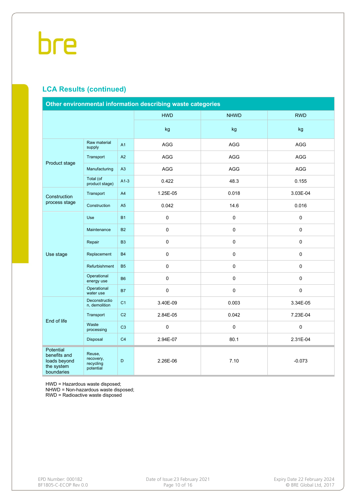### **LCA Results (continued)**

| Other environmental information describing waste categories           |                                               |                |            |             |             |  |  |  |
|-----------------------------------------------------------------------|-----------------------------------------------|----------------|------------|-------------|-------------|--|--|--|
|                                                                       |                                               |                | <b>HWD</b> | <b>NHWD</b> | <b>RWD</b>  |  |  |  |
|                                                                       |                                               |                | kg         | kg          | kg          |  |  |  |
|                                                                       | Raw material<br>supply                        | A <sub>1</sub> | <b>AGG</b> | AGG         | <b>AGG</b>  |  |  |  |
| Product stage                                                         | Transport                                     | A2             | <b>AGG</b> | AGG         | AGG         |  |  |  |
|                                                                       | Manufacturing                                 | A3             | AGG        | AGG         | AGG         |  |  |  |
|                                                                       | Total (of<br>product stage)                   | $A1-3$         | 0.422      | 48.3        | 0.155       |  |  |  |
| Construction                                                          | Transport                                     | A4             | 1.25E-05   | 0.018       | 3.03E-04    |  |  |  |
| process stage                                                         | Construction                                  | A <sub>5</sub> | 0.042      | 14.6        | 0.016       |  |  |  |
|                                                                       | Use                                           | <b>B1</b>      | 0          | 0           | 0           |  |  |  |
|                                                                       | Maintenance                                   | <b>B2</b>      | $\Omega$   | 0           | $\Omega$    |  |  |  |
|                                                                       | Repair                                        | B <sub>3</sub> | 0          | 0           | 0           |  |  |  |
| Use stage                                                             | Replacement                                   | <b>B4</b>      | $\pmb{0}$  | 0           | 0           |  |  |  |
|                                                                       | Refurbishment                                 | <b>B5</b>      | 0          | 0           | $\mathsf 0$ |  |  |  |
|                                                                       | Operational<br>energy use                     | <b>B6</b>      | $\pmb{0}$  | 0           | 0           |  |  |  |
|                                                                       | Operational<br>water use                      | <b>B7</b>      | 0          | 0           | $\mathsf 0$ |  |  |  |
|                                                                       | Deconstructio<br>n, demolition                | C <sub>1</sub> | 3.40E-09   | 0.003       | 3.34E-05    |  |  |  |
| End of life                                                           | Transport                                     | C <sub>2</sub> | 2.84E-05   | 0.042       | 7.23E-04    |  |  |  |
|                                                                       | Waste<br>processing                           | C <sub>3</sub> | 0          | 0           | $\mathbf 0$ |  |  |  |
|                                                                       | Disposal                                      | C <sub>4</sub> | 2.94E-07   | 80.1        | 2.31E-04    |  |  |  |
| Potential<br>benefits and<br>loads beyond<br>the system<br>boundaries | Reuse,<br>recovery,<br>recycling<br>potential | D              | 2.26E-06   | 7.10        | $-0.073$    |  |  |  |

HWD = Hazardous waste disposed;

NHWD = Non-hazardous waste disposed;

RWD = Radioactive waste disposed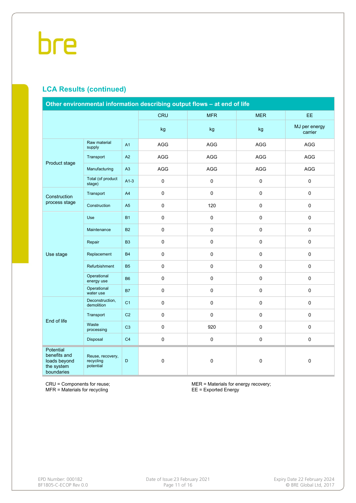### **LCA Results (continued)**

| Other environmental information describing output flows - at end of life |                                            |                |                     |             |             |                          |  |  |
|--------------------------------------------------------------------------|--------------------------------------------|----------------|---------------------|-------------|-------------|--------------------------|--|--|
|                                                                          |                                            |                | <b>CRU</b>          | <b>MFR</b>  | <b>MER</b>  | EE.                      |  |  |
|                                                                          |                                            |                | kg                  | kg          | kg          | MJ per energy<br>carrier |  |  |
|                                                                          | Raw material<br>supply                     | A1             | AGG                 | AGG         | AGG         | AGG                      |  |  |
| Product stage                                                            | Transport                                  | A2             | AGG                 | AGG         | AGG         | AGG                      |  |  |
|                                                                          | Manufacturing                              | A3             | AGG                 | AGG         | AGG         | AGG                      |  |  |
|                                                                          | Total (of product<br>stage)                | $A1-3$         | $\mathbf 0$         | $\pmb{0}$   | $\Omega$    | $\mathbf 0$              |  |  |
| Construction                                                             | Transport                                  | A4             | $\mathbf 0$         | $\pmb{0}$   | $\mathbf 0$ | $\mathbf 0$              |  |  |
| process stage                                                            | Construction                               | A <sub>5</sub> | $\pmb{0}$           | 120         | 0           | $\pmb{0}$                |  |  |
|                                                                          | Use                                        | <b>B1</b>      | $\mathsf{O}\xspace$ | $\pmb{0}$   | $\pmb{0}$   | $\pmb{0}$                |  |  |
|                                                                          | Maintenance                                | <b>B2</b>      | $\mathsf{O}\xspace$ | $\pmb{0}$   | $\pmb{0}$   | $\pmb{0}$                |  |  |
|                                                                          | Repair                                     | B <sub>3</sub> | $\mathsf 0$         | $\pmb{0}$   | $\pmb{0}$   | $\pmb{0}$                |  |  |
| Use stage                                                                | Replacement                                | <b>B4</b>      | $\mathsf{O}\xspace$ | $\pmb{0}$   | $\pmb{0}$   | $\pmb{0}$                |  |  |
|                                                                          | Refurbishment                              | <b>B5</b>      | $\mathbf 0$         | $\mathsf 0$ | $\mathbf 0$ | $\mathbf 0$              |  |  |
|                                                                          | Operational<br>energy use                  | <b>B6</b>      | $\mathsf{O}\xspace$ | $\pmb{0}$   | $\pmb{0}$   | $\pmb{0}$                |  |  |
|                                                                          | Operational<br>water use                   | <b>B7</b>      | $\pmb{0}$           | $\pmb{0}$   | $\pmb{0}$   | $\pmb{0}$                |  |  |
|                                                                          | Deconstruction,<br>demolition              | C <sub>1</sub> | $\mathsf{O}\xspace$ | $\pmb{0}$   | $\pmb{0}$   | $\pmb{0}$                |  |  |
| End of life                                                              | Transport                                  | C <sub>2</sub> | $\mathsf 0$         | $\pmb{0}$   | $\mathbf 0$ | $\pmb{0}$                |  |  |
|                                                                          | Waste<br>processing                        | C <sub>3</sub> | 0                   | 920         | $\pmb{0}$   | $\pmb{0}$                |  |  |
|                                                                          | Disposal                                   | C <sub>4</sub> | $\mathsf{O}\xspace$ | $\pmb{0}$   | $\pmb{0}$   | $\pmb{0}$                |  |  |
| Potential<br>benefits and<br>loads beyond<br>the system<br>boundaries    | Reuse, recovery,<br>recycling<br>potential | D              | $\mathsf 0$         | $\pmb{0}$   | $\pmb{0}$   | $\pmb{0}$                |  |  |

CRU = Components for reuse; MFR = Materials for recycling

MER = Materials for energy recovery; EE = Exported Energy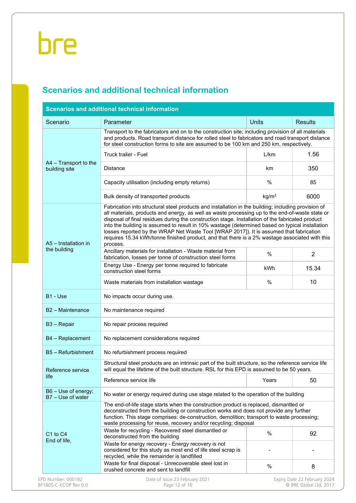## **Scenarios and additional technical information**

|                                          |                                                                                                                                                                                                                                                                                                                                                                                                                                                                                                                                                                                                                                                                                                                                                   |                                                                                                                                                                                              | <b>Results</b>                                         |  |  |  |  |  |  |  |
|------------------------------------------|---------------------------------------------------------------------------------------------------------------------------------------------------------------------------------------------------------------------------------------------------------------------------------------------------------------------------------------------------------------------------------------------------------------------------------------------------------------------------------------------------------------------------------------------------------------------------------------------------------------------------------------------------------------------------------------------------------------------------------------------------|----------------------------------------------------------------------------------------------------------------------------------------------------------------------------------------------|--------------------------------------------------------|--|--|--|--|--|--|--|
| Scenario                                 | Units<br>Parameter                                                                                                                                                                                                                                                                                                                                                                                                                                                                                                                                                                                                                                                                                                                                |                                                                                                                                                                                              |                                                        |  |  |  |  |  |  |  |
|                                          | Transport to the fabricators and on to the construction site; including provision of all materials                                                                                                                                                                                                                                                                                                                                                                                                                                                                                                                                                                                                                                                | and products. Road transport distance for rolled steel to fabricators and road transport distance<br>for steel construction forms to site are assumed to be 100 km and 250 km, respectively. |                                                        |  |  |  |  |  |  |  |
|                                          | Truck trailer - Fuel                                                                                                                                                                                                                                                                                                                                                                                                                                                                                                                                                                                                                                                                                                                              | L/km                                                                                                                                                                                         | 1.56                                                   |  |  |  |  |  |  |  |
| A4 - Transport to the<br>building site   | <b>Distance</b>                                                                                                                                                                                                                                                                                                                                                                                                                                                                                                                                                                                                                                                                                                                                   | km                                                                                                                                                                                           | 350                                                    |  |  |  |  |  |  |  |
|                                          | Capacity utilisation (including empty returns)                                                                                                                                                                                                                                                                                                                                                                                                                                                                                                                                                                                                                                                                                                    | $\%$                                                                                                                                                                                         | 85                                                     |  |  |  |  |  |  |  |
|                                          | Bulk density of transported products                                                                                                                                                                                                                                                                                                                                                                                                                                                                                                                                                                                                                                                                                                              | kg/m <sup>3</sup>                                                                                                                                                                            | 6000                                                   |  |  |  |  |  |  |  |
| A5 - Installation in<br>the building     | Fabrication into structural steel products and installation in the building; including provision of<br>all materials, products and energy, as well as waste processing up to the end-of-waste state or<br>disposal of final residues during the construction stage. Installation of the fabricated product<br>into the building is assumed to result in 10% wastage (determined based on typical installation<br>losses reported by the WRAP Net Waste Tool [WRAP 2017]). It is assumed that fabrication<br>requires 15.34 kWh/tonne finished product, and that there is a 2% wastage associated with this<br>process.<br>Ancillary materials for installation - Waste material from<br>fabrication, losses per tonne of construction steel forms | %                                                                                                                                                                                            | $\overline{2}$                                         |  |  |  |  |  |  |  |
|                                          | Energy Use - Energy per tonne required to fabricate<br>construction steel forms                                                                                                                                                                                                                                                                                                                                                                                                                                                                                                                                                                                                                                                                   | kWh                                                                                                                                                                                          | 15.34                                                  |  |  |  |  |  |  |  |
|                                          | Waste materials from installation wastage                                                                                                                                                                                                                                                                                                                                                                                                                                                                                                                                                                                                                                                                                                         | $\%$                                                                                                                                                                                         | 10                                                     |  |  |  |  |  |  |  |
| B1 - Use                                 | No impacts occur during use.                                                                                                                                                                                                                                                                                                                                                                                                                                                                                                                                                                                                                                                                                                                      |                                                                                                                                                                                              |                                                        |  |  |  |  |  |  |  |
| B <sub>2</sub> - Maintenance             | No maintenance required                                                                                                                                                                                                                                                                                                                                                                                                                                                                                                                                                                                                                                                                                                                           |                                                                                                                                                                                              |                                                        |  |  |  |  |  |  |  |
| B3 - Repair                              | No repair process required                                                                                                                                                                                                                                                                                                                                                                                                                                                                                                                                                                                                                                                                                                                        |                                                                                                                                                                                              |                                                        |  |  |  |  |  |  |  |
| B4 - Replacement                         | No replacement considerations required                                                                                                                                                                                                                                                                                                                                                                                                                                                                                                                                                                                                                                                                                                            |                                                                                                                                                                                              |                                                        |  |  |  |  |  |  |  |
| B5 - Refurbishment                       | No refurbishment process required                                                                                                                                                                                                                                                                                                                                                                                                                                                                                                                                                                                                                                                                                                                 |                                                                                                                                                                                              |                                                        |  |  |  |  |  |  |  |
| Reference service                        | Structural steel products are an intrinsic part of the built structure, so the reference service life<br>will equal the lifetime of the built structure. RSL for this EPD is assumed to be 50 years.                                                                                                                                                                                                                                                                                                                                                                                                                                                                                                                                              |                                                                                                                                                                                              |                                                        |  |  |  |  |  |  |  |
| life                                     | Reference service life                                                                                                                                                                                                                                                                                                                                                                                                                                                                                                                                                                                                                                                                                                                            | Years                                                                                                                                                                                        | 50                                                     |  |  |  |  |  |  |  |
| B6 - Use of energy;<br>B7 - Use of water | No water or energy required during use stage related to the operation of the building                                                                                                                                                                                                                                                                                                                                                                                                                                                                                                                                                                                                                                                             |                                                                                                                                                                                              |                                                        |  |  |  |  |  |  |  |
|                                          | The end-of-life stage starts when the construction product is replaced, dismantled or<br>deconstructed from the building or construction works and does not provide any further<br>function. This stage comprises: de-construction, demolition; transport to waste processing;<br>waste processing for reuse, recovery and/or recycling; disposal                                                                                                                                                                                                                                                                                                                                                                                                 |                                                                                                                                                                                              |                                                        |  |  |  |  |  |  |  |
| C1 to C4<br>End of life,                 | Waste for recycling - Recovered steel dismantled or<br>deconstructed from the building                                                                                                                                                                                                                                                                                                                                                                                                                                                                                                                                                                                                                                                            | $\%$                                                                                                                                                                                         | 92                                                     |  |  |  |  |  |  |  |
|                                          | Waste for energy recovery - Energy recovery is not<br>considered for this study as most end of life steel scrap is<br>recycled, while the remainder is landfilled                                                                                                                                                                                                                                                                                                                                                                                                                                                                                                                                                                                 |                                                                                                                                                                                              |                                                        |  |  |  |  |  |  |  |
|                                          | Waste for final disposal - Unrecoverable steel lost in<br>crushed concrete and sent to landfill                                                                                                                                                                                                                                                                                                                                                                                                                                                                                                                                                                                                                                                   | %                                                                                                                                                                                            | 8                                                      |  |  |  |  |  |  |  |
| EPD Number: 000182                       | Date of Issue:23 February 2021                                                                                                                                                                                                                                                                                                                                                                                                                                                                                                                                                                                                                                                                                                                    |                                                                                                                                                                                              | Expiry Date 22 February 2024<br>© BRE Global Ltd, 2017 |  |  |  |  |  |  |  |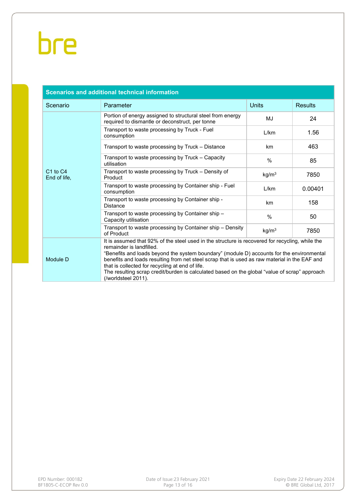| <b>Scenarios and additional technical information</b> |                                                                                                                                                                                                                                                                                                                                                                                                                                                                                                      |                   |                |  |  |  |  |  |
|-------------------------------------------------------|------------------------------------------------------------------------------------------------------------------------------------------------------------------------------------------------------------------------------------------------------------------------------------------------------------------------------------------------------------------------------------------------------------------------------------------------------------------------------------------------------|-------------------|----------------|--|--|--|--|--|
| Scenario                                              | Parameter                                                                                                                                                                                                                                                                                                                                                                                                                                                                                            | <b>Units</b>      | <b>Results</b> |  |  |  |  |  |
|                                                       | Portion of energy assigned to structural steel from energy<br>required to dismantle or deconstruct, per tonne                                                                                                                                                                                                                                                                                                                                                                                        | MJ                | 24             |  |  |  |  |  |
|                                                       | Transport to waste processing by Truck - Fuel<br>consumption                                                                                                                                                                                                                                                                                                                                                                                                                                         | L/km              | 1.56           |  |  |  |  |  |
|                                                       | Transport to waste processing by Truck – Distance                                                                                                                                                                                                                                                                                                                                                                                                                                                    | km                | 463            |  |  |  |  |  |
|                                                       | Transport to waste processing by Truck - Capacity<br>utilisation                                                                                                                                                                                                                                                                                                                                                                                                                                     | $\frac{0}{0}$     | 85             |  |  |  |  |  |
| C <sub>1</sub> to C <sub>4</sub><br>End of life,      | Transport to waste processing by Truck - Density of<br>Product                                                                                                                                                                                                                                                                                                                                                                                                                                       | kg/m <sup>3</sup> | 7850           |  |  |  |  |  |
|                                                       | Transport to waste processing by Container ship - Fuel<br>consumption                                                                                                                                                                                                                                                                                                                                                                                                                                | L/km              | 0.00401        |  |  |  |  |  |
|                                                       | Transport to waste processing by Container ship -<br><b>Distance</b>                                                                                                                                                                                                                                                                                                                                                                                                                                 | km                | 158            |  |  |  |  |  |
|                                                       | Transport to waste processing by Container ship -<br>Capacity utilisation                                                                                                                                                                                                                                                                                                                                                                                                                            | $\frac{0}{0}$     | 50             |  |  |  |  |  |
|                                                       | Transport to waste processing by Container ship – Density<br>of Product                                                                                                                                                                                                                                                                                                                                                                                                                              | kg/m <sup>3</sup> | 7850           |  |  |  |  |  |
| Module D                                              | It is assumed that 92% of the steel used in the structure is recovered for recycling, while the<br>remainder is landfilled.<br>"Benefits and loads beyond the system boundary" (module D) accounts for the environmental<br>benefits and loads resulting from net steel scrap that is used as raw material in the EAF and<br>that is collected for recycling at end of life.<br>The resulting scrap credit/burden is calculated based on the global "value of scrap" approach<br>(/worldsteel 2011). |                   |                |  |  |  |  |  |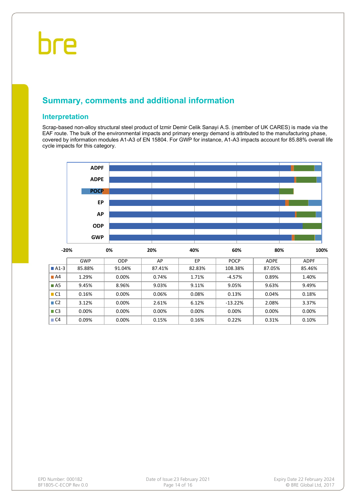### **Summary, comments and additional information**

#### **Interpretation**

Scrap-based non-alloy structural steel product of Izmir Demir Celik Sanayi A.S. (member of UK CARES) is made via the EAF route. The bulk of the environmental impacts and primary energy demand is attributed to the manufacturing phase, covered by information modules A1-A3 of EN 15804. For GWP for instance, A1-A3 impacts account for 85.88% overall life cycle impacts for this category.



|                     | GWP    | ODP    | AP     | EP     | <b>POCP</b> | <b>ADPE</b> | <b>ADPF</b> |
|---------------------|--------|--------|--------|--------|-------------|-------------|-------------|
| $\blacksquare$ A1-3 | 85.88% | 91.04% | 87.41% | 82.83% | 108.38%     | 87.05%      | 85.46%      |
| $\blacksquare$ A4   | 1.29%  | 0.00%  | 0.74%  | 1.71%  | $-4.57%$    | 0.89%       | 1.40%       |
| $\blacksquare$ A5   | 9.45%  | 8.96%  | 9.03%  | 9.11%  | 9.05%       | 9.63%       | 9.49%       |
| $\blacksquare$ C1   | 0.16%  | 0.00%  | 0.06%  | 0.08%  | 0.13%       | 0.04%       | 0.18%       |
| $\Box$ C2           | 3.12%  | 0.00%  | 2.61%  | 6.12%  | $-13.22%$   | 2.08%       | 3.37%       |
| $\Box$ C3           | 0.00%  | 0.00%  | 0.00%  | 0.00%  | 0.00%       | 0.00%       | 0.00%       |
| $\Box$ C4           | 0.09%  | 0.00%  | 0.15%  | 0.16%  | 0.22%       | 0.31%       | 0.10%       |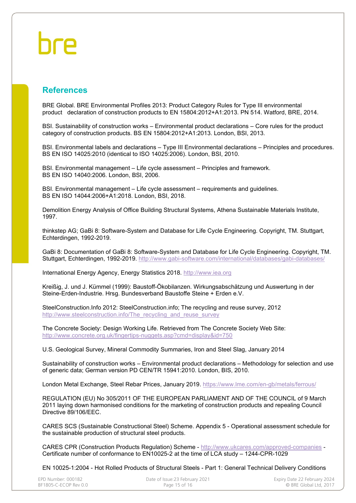### **References**

BRE Global. BRE Environmental Profiles 2013: Product Category Rules for Type III environmental product declaration of construction products to EN 15804:2012+A1:2013. PN 514. Watford, BRE, 2014.

BSI. Sustainability of construction works – Environmental product declarations – Core rules for the product category of construction products. BS EN 15804:2012+A1:2013. London, BSI, 2013.

BSI. Environmental labels and declarations – Type III Environmental declarations – Principles and procedures. BS EN ISO 14025:2010 (identical to ISO 14025:2006). London, BSI, 2010.

BSI. Environmental management – Life cycle assessment – Principles and framework. BS EN ISO 14040:2006. London, BSI, 2006.

BSI. Environmental management – Life cycle assessment – requirements and guidelines. BS EN ISO 14044:2006+A1:2018. London, BSI, 2018.

Demolition Energy Analysis of Office Building Structural Systems, Athena Sustainable Materials Institute, 1997.

thinkstep AG; GaBi 8: Software-System and Database for Life Cycle Engineering. Copyright, TM. Stuttgart, Echterdingen, 1992-2019.

GaBi 8: Documentation of GaBi 8: Software-System and Database for Life Cycle Engineering. Copyright, TM. Stuttgart, Echterdingen, 1992-2019.<http://www.gabi-software.com/international/databases/gabi-databases/>

International Energy Agency, Energy Statistics 2018. [http://www.iea.org](http://www.iea.org/)

Kreißig, J. und J. Kümmel (1999): Baustoff-Ökobilanzen. Wirkungsabschätzung und Auswertung in der Steine-Erden-Industrie. Hrsg. Bundesverband Baustoffe Steine + Erden e.V.

SteelConstruction.Info 2012: SteelConstruction.info; The recycling and reuse survey, 2012 [http://www.steelconstruction.info/The\\_recycling\\_and\\_reuse\\_survey](http://www.steelconstruction.info/The_recycling_and_reuse_survey)\_

The Concrete Society: Design Working Life. Retrieved from The Concrete Society Web Site: [http://www.concrete.org.uk/fingertips-](http://www.concrete.org.uk/fingertips-nuggets.asp?cmd=display&id=750)nuggets.asp?cmd=display&id=750

U.S. Geological Survey, Mineral Commodity Summaries, Iron and Steel Slag, January 2014

Sustainability of construction works – Environmental product declarations – Methodology for selection and use of generic data; German version PD CEN/TR 15941:2010. London, BIS, 2010.

London Metal Exchange, Steel Rebar Prices, January 2019.<https://www.lme.com/en-gb/metals/ferrous/>

REGULATION (EU) No 305/2011 OF THE EUROPEAN PARLIAMENT AND OF THE COUNCIL of 9 March 2011 laying down harmonised conditions for the marketing of construction products and repealing Council Directive 89/106/EEC.

CARES SCS (Sustainable Constructional Steel) Scheme. Appendix 5 - Operational assessment schedule for the sustainable production of structural steel products.

CARES CPR (Construction Products Regulation) Scheme - <http://www.ukcares.com/approved-companies> - Certificate number of conformance to EN10025-2 at the time of LCA study – 1244-CPR-1029

EN 10025-1:2004 - Hot Rolled Products of Structural Steels - Part 1: General Technical Delivery Conditions

| EPD Number: 000182    | Date of Issue:23 February 2021 | Expiry Date 22 February 2024 |
|-----------------------|--------------------------------|------------------------------|
| BF1805-C-ECOP Rev 0.0 | Page 15 of 16                  | © BRE Global Ltd. 2017       |